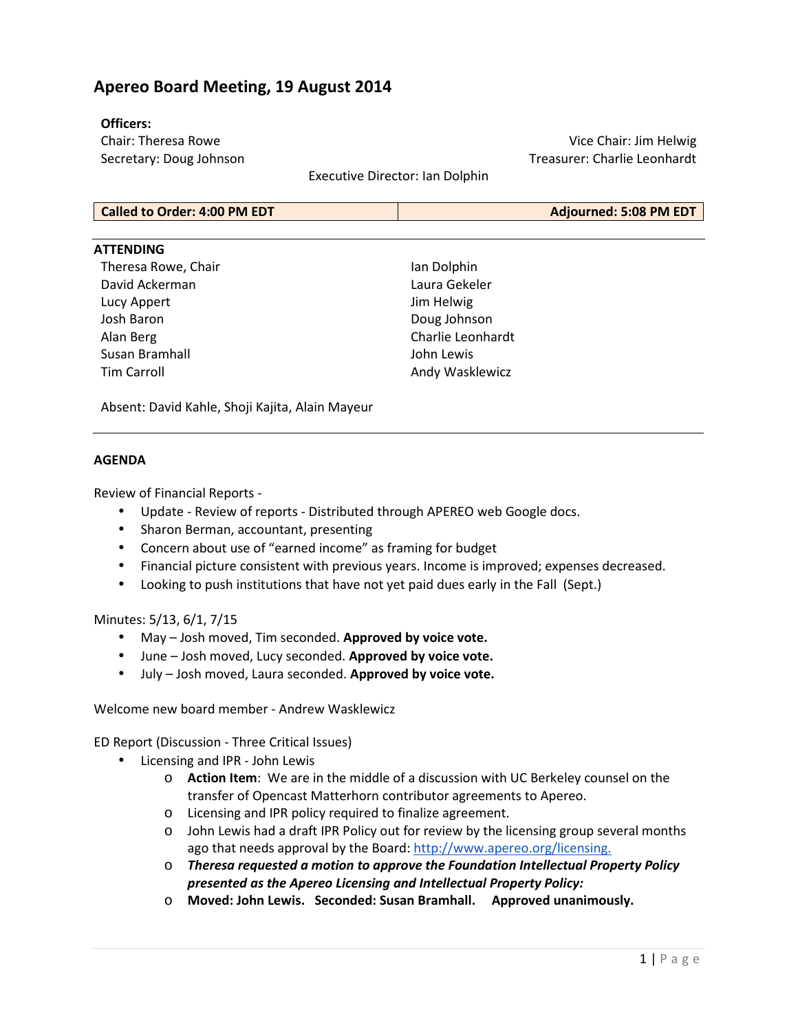## **Apereo Board Meeting, 19 August 2014**

### **Officers:**

Chair: Theresa Rowe Secretary: Doug Johnson

Vice Chair: Jim Helwig Treasurer: Charlie Leonhardt

Executive Director: Ian Dolphin

| <b>Called to Order: 4:00 PM EDT</b> | Adjourned: 5:08 PM EDT |
|-------------------------------------|------------------------|
|                                     |                        |

### **ATTENDING**

Theresa Rowe, Chair David Ackerman Lucy Appert Josh Baron Alan Berg Susan Bramhall Tim Carroll

Ian Dolphin Laura Gekeler Jim Helwig Doug Johnson Charlie Leonhardt John Lewis Andy Wasklewicz

Absent: David Kahle, Shoji Kajita, Alain Mayeur

### **AGENDA**

Review of Financial Reports -

- Update Review of reports Distributed through APEREO web Google docs.
- Sharon Berman, accountant, presenting
- Concern about use of "earned income" as framing for budget
- Financial picture consistent with previous years. Income is improved; expenses decreased.
- Looking to push institutions that have not yet paid dues early in the Fall (Sept.)

### Minutes: 5/13, 6/1, 7/15

- May Josh moved, Tim seconded. **Approved by voice vote.**
- June Josh moved, Lucy seconded. **Approved by voice vote.**
- July Josh moved, Laura seconded. **Approved by voice vote.**

Welcome new board member - Andrew Wasklewicz

ED Report (Discussion - Three Critical Issues)

- Licensing and IPR John Lewis
	- o **Action Item**: We are in the middle of a discussion with UC Berkeley counsel on the transfer of Opencast Matterhorn contributor agreements to Apereo.
	- o Licensing and IPR policy required to finalize agreement.
	- o John Lewis had a draft IPR Policy out for review by the licensing group several months ago that needs approval by the Board: http://www.apereo.org/licensing.
	- o *Theresa requested a motion to approve the Foundation Intellectual Property Policy presented as the Apereo Licensing and Intellectual Property Policy:*
	- o **Moved: John Lewis. Seconded: Susan Bramhall. Approved unanimously.**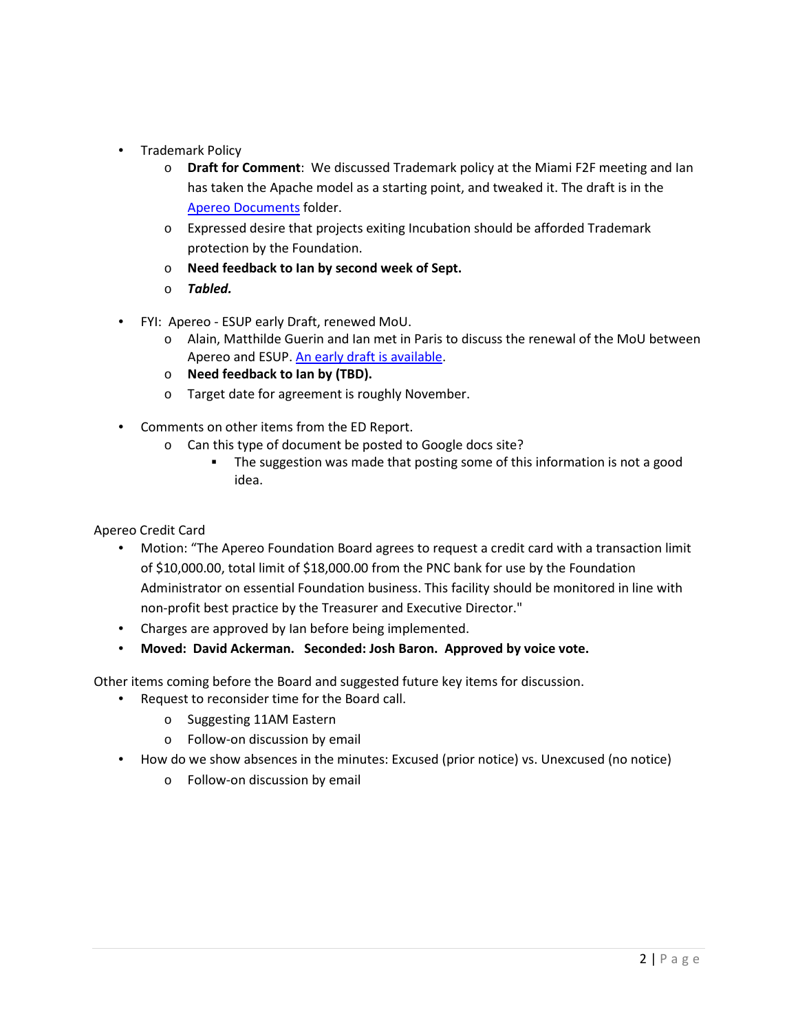- Trademark Policy
	- o **Draft for Comment**: We discussed Trademark policy at the Miami F2F meeting and Ian has taken the Apache model as a starting point, and tweaked it. The draft is in the Apereo Documents folder.
	- o Expressed desire that projects exiting Incubation should be afforded Trademark protection by the Foundation.
	- o **Need feedback to Ian by second week of Sept.**
	- o *Tabled.*
- FYI: Apereo ESUP early Draft, renewed MoU.
	- o Alain, Matthilde Guerin and Ian met in Paris to discuss the renewal of the MoU between Apereo and ESUP. An early draft is available.
	- o **Need feedback to Ian by (TBD).**
	- o Target date for agreement is roughly November.
- Comments on other items from the ED Report.
	- o Can this type of document be posted to Google docs site?
		- The suggestion was made that posting some of this information is not a good idea.

Apereo Credit Card

- Motion: "The Apereo Foundation Board agrees to request a credit card with a transaction limit of \$10,000.00, total limit of \$18,000.00 from the PNC bank for use by the Foundation Administrator on essential Foundation business. This facility should be monitored in line with non-profit best practice by the Treasurer and Executive Director."
- Charges are approved by Ian before being implemented.
- **Moved: David Ackerman. Seconded: Josh Baron. Approved by voice vote.**

Other items coming before the Board and suggested future key items for discussion.

- Request to reconsider time for the Board call.
	- o Suggesting 11AM Eastern
	- o Follow-on discussion by email
- How do we show absences in the minutes: Excused (prior notice) vs. Unexcused (no notice)
	- o Follow-on discussion by email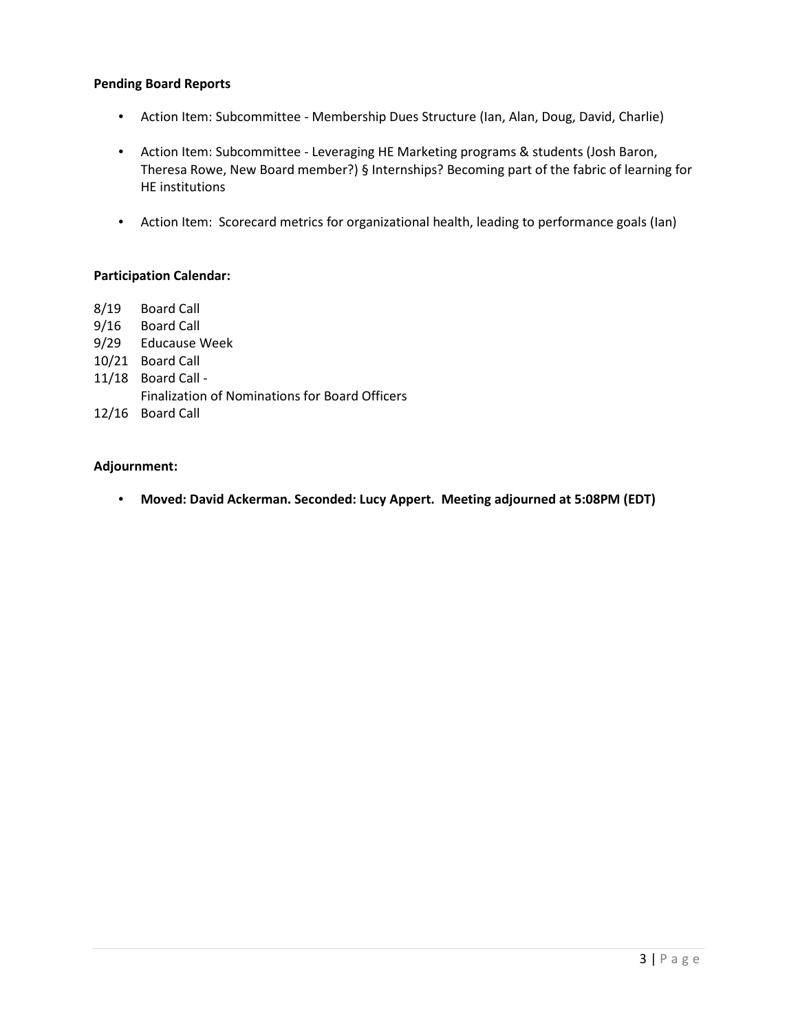### **Pending Board Reports**

- Action Item: Subcommittee Membership Dues Structure (Ian, Alan, Doug, David, Charlie)
- Action Item: Subcommittee Leveraging HE Marketing programs & students (Josh Baron, Theresa Rowe, New Board member?) § Internships? Becoming part of the fabric of learning for HE institutions
- Action Item: Scorecard metrics for organizational health, leading to performance goals (Ian)

### **Participation Calendar:**

- 8/19 Board Call
- 9/16 Board Call
- 9/29 Educause Week
- 10/21 Board Call
- 11/18 Board Call
	- Finalization of Nominations for Board Officers
- 12/16 Board Call

### **Adjournment:**

• **Moved: David Ackerman. Seconded: Lucy Appert. Meeting adjourned at 5:08PM (EDT)**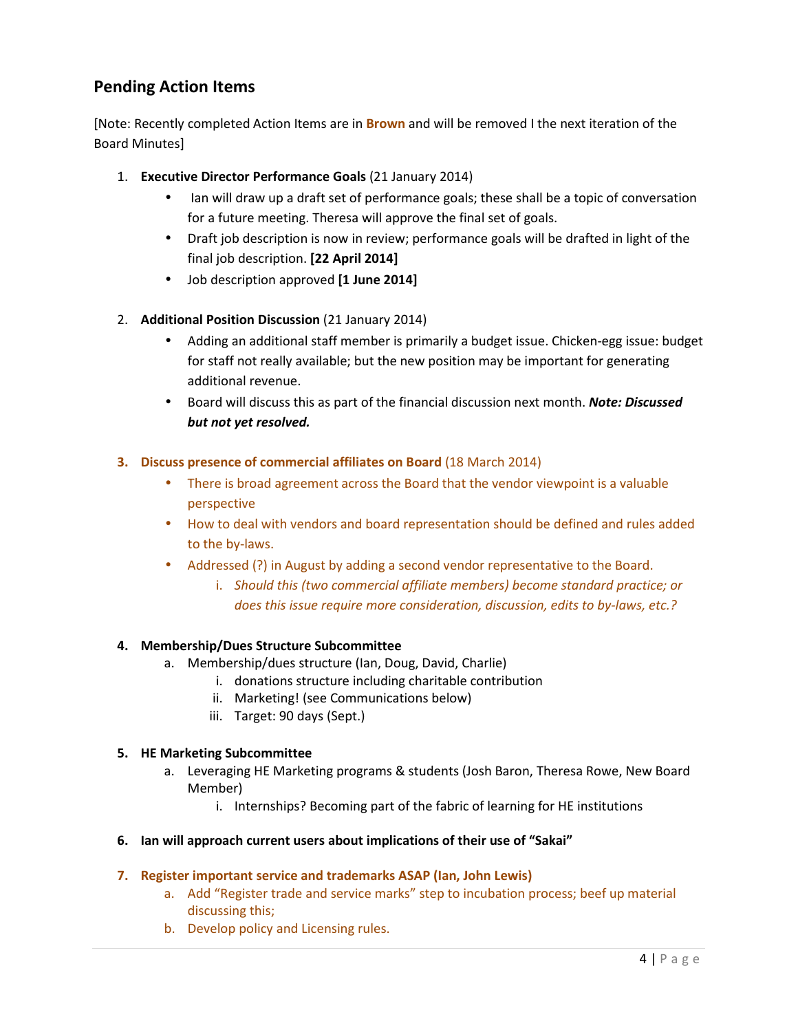# **Pending Action Items**

[Note: Recently completed Action Items are in **Brown** and will be removed I the next iteration of the Board Minutes]

- 1. **Executive Director Performance Goals** (21 January 2014)
	- Ian will draw up a draft set of performance goals; these shall be a topic of conversation for a future meeting. Theresa will approve the final set of goals.
	- Draft job description is now in review; performance goals will be drafted in light of the final job description. **[22 April 2014]**
	- Job description approved **[1 June 2014]**
- 2. **Additional Position Discussion** (21 January 2014)
	- Adding an additional staff member is primarily a budget issue. Chicken-egg issue: budget for staff not really available; but the new position may be important for generating additional revenue.
	- Board will discuss this as part of the financial discussion next month. *Note: Discussed but not yet resolved.*

## **3. Discuss presence of commercial affiliates on Board** (18 March 2014)

- There is broad agreement across the Board that the vendor viewpoint is a valuable perspective
- How to deal with vendors and board representation should be defined and rules added to the by-laws.
- Addressed (?) in August by adding a second vendor representative to the Board.
	- i. *Should this (two commercial affiliate members) become standard practice; or does this issue require more consideration, discussion, edits to by-laws, etc.?*

## **4. Membership/Dues Structure Subcommittee**

- a. Membership/dues structure (Ian, Doug, David, Charlie)
	- i. donations structure including charitable contribution
	- ii. Marketing! (see Communications below)
	- iii. Target: 90 days (Sept.)

## **5. HE Marketing Subcommittee**

- a. Leveraging HE Marketing programs & students (Josh Baron, Theresa Rowe, New Board Member)
	- i. Internships? Becoming part of the fabric of learning for HE institutions

## **6. Ian will approach current users about implications of their use of "Sakai"**

## **7. Register important service and trademarks ASAP (Ian, John Lewis)**

- a. Add "Register trade and service marks" step to incubation process; beef up material discussing this;
- b. Develop policy and Licensing rules.